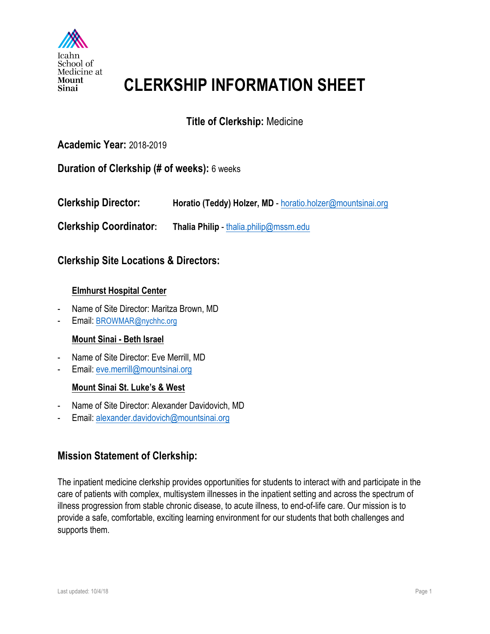

# **CLERKSHIP INFORMATION SHEET**

# **Title of Clerkship:** Medicine

## **Academic Year:** 2018-2019

#### **Duration of Clerkship (# of weeks):** 6 weeks

**Clerkship Director:** Horatio (Teddy) Holzer, MD - horatio.holzer@mountsinai.org

**Clerkship Coordinator: Thalia Philip** - thalia.philip@mssm.edu

### **Clerkship Site Locations & Directors:**

#### **Elmhurst Hospital Center**

- Name of Site Director: Maritza Brown, MD
- Email: BROWMAR@nychhc.org

#### **Mount Sinai - Beth Israel**

- Name of Site Director: Eve Merrill, MD
- Email: eve.merrill@mountsinai.org

#### **Mount Sinai St. Luke's & West**

- Name of Site Director: Alexander Davidovich, MD
- Email: alexander.davidovich@mountsinai.org

## **Mission Statement of Clerkship:**

The inpatient medicine clerkship provides opportunities for students to interact with and participate in the care of patients with complex, multisystem illnesses in the inpatient setting and across the spectrum of illness progression from stable chronic disease, to acute illness, to end-of-life care. Our mission is to provide a safe, comfortable, exciting learning environment for our students that both challenges and supports them.